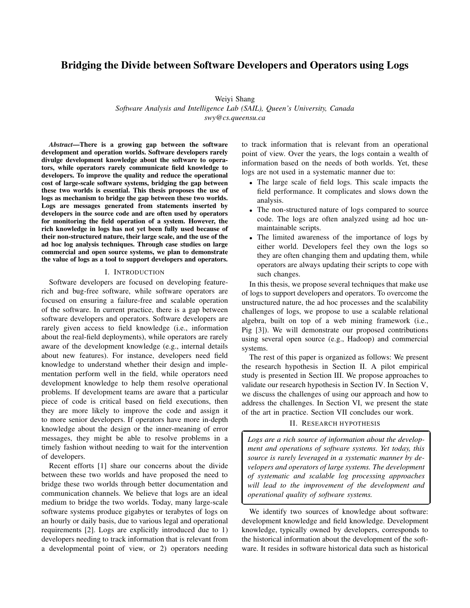# **Bridging the Divide between Software Developers and Operators using Logs**

Weiyi Shang

*Software Analysis and Intelligence Lab (SAIL), Queen's University, Canada swy@cs.queensu.ca*

✄

 $\overline{\phantom{a}}$ 

*Abstract***—There is a growing gap between the software development and operation worlds. Software developers rarely divulge development knowledge about the software to operators, while operators rarely communicate field knowledge to developers. To improve the quality and reduce the operational cost of large-scale software systems, bridging the gap between these two worlds is essential. This thesis proposes the use of logs as mechanism to bridge the gap between these two worlds. Logs are messages generated from statements inserted by developers in the source code and are often used by operators for monitoring the field operation of a system. However, the rich knowledge in logs has not yet been fully used because of their non-structured nature, their large scale, and the use of the ad hoc log analysis techniques. Through case studies on large commercial and open source systems, we plan to demonstrate the value of logs as a tool to support developers and operators.**

#### I. INTRODUCTION

Software developers are focused on developing featurerich and bug-free software, while software operators are focused on ensuring a failure-free and scalable operation of the software. In current practice, there is a gap between software developers and operators. Software developers are rarely given access to field knowledge (i.e., information about the real-field deployments), while operators are rarely aware of the development knowledge (e.g., internal details about new features). For instance, developers need field knowledge to understand whether their design and implementation perform well in the field, while operators need development knowledge to help them resolve operational problems. If development teams are aware that a particular piece of code is critical based on field executions, then they are more likely to improve the code and assign it to more senior developers. If operators have more in-depth knowledge about the design or the inner-meaning of error messages, they might be able to resolve problems in a timely fashion without needing to wait for the intervention of developers.

Recent efforts [1] share our concerns about the divide between these two worlds and have proposed the need to bridge these two worlds through better documentation and communication channels. We believe that logs are an ideal medium to bridge the two worlds. Today, many large-scale software systems produce gigabytes or terabytes of logs on an hourly or daily basis, due to various legal and operational requirements [2]. Logs are explicitly introduced due to 1) developers needing to track information that is relevant from a developmental point of view, or 2) operators needing to track information that is relevant from an operational point of view. Over the years, the logs contain a wealth of information based on the needs of both worlds. Yet, these logs are not used in a systematic manner due to:

- The large scale of field logs. This scale impacts the field performance. It complicates and slows down the analysis.
- The non-structured nature of logs compared to source code. The logs are often analyzed using ad hoc unmaintainable scripts.
- The limited awareness of the importance of logs by either world. Developers feel they own the logs so they are often changing them and updating them, while operators are always updating their scripts to cope with such changes.

In this thesis, we propose several techniques that make use of logs to support developers and operators. To overcome the unstructured nature, the ad hoc processes and the scalability challenges of logs, we propose to use a scalable relational algebra, built on top of a web mining framework (i.e., Pig [3]). We will demonstrate our proposed contributions using several open source (e.g., Hadoop) and commercial systems.

The rest of this paper is organized as follows: We present the research hypothesis in Section II. A pilot empirical study is presented in Section III. We propose approaches to validate our research hypothesis in Section IV. In Section V, we discuss the challenges of using our approach and how to address the challenges. In Section VI, we present the state of the art in practice. Section VII concludes our work.

#### II. RESEARCH HYPOTHESIS

Ĭ.

Į.

*Logs are a rich source of information about the development and operations of software systems. Yet today, this source is rarely leveraged in a systematic manner by developers and operators of large systems. The development of systematic and scalable log processing approaches will lead to the improvement of the development and operational quality of software systems.*

We identify two sources of knowledge about software: development knowledge and field knowledge. Development knowledge, typically owned by developers, corresponds to the historical information about the development of the software. It resides in software historical data such as historical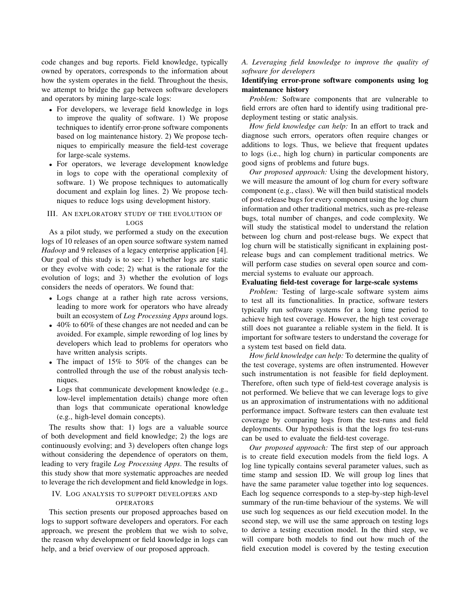code changes and bug reports. Field knowledge, typically owned by operators, corresponds to the information about how the system operates in the field. Throughout the thesis, we attempt to bridge the gap between software developers and operators by mining large-scale logs:

- For developers, we leverage field knowledge in logs to improve the quality of software. 1) We propose techniques to identify error-prone software components based on log maintenance history. 2) We propose techniques to empirically measure the field-test coverage for large-scale systems.
- For operators, we leverage development knowledge in logs to cope with the operational complexity of software. 1) We propose techniques to automatically document and explain log lines. 2) We propose techniques to reduce logs using development history.

### III. AN EXPLORATORY STUDY OF THE EVOLUTION OF LOGS

As a pilot study, we performed a study on the execution logs of 10 releases of an open source software system named *Hadoop* and 9 releases of a legacy enterprise application [4]. Our goal of this study is to see: 1) whether logs are static or they evolve with code; 2) what is the rationale for the evolution of logs; and 3) whether the evolution of logs considers the needs of operators. We found that:

- Logs change at a rather high rate across versions, leading to more work for operators who have already built an ecosystem of *Log Processing Apps* around logs.
- 40% to 60% of these changes are not needed and can be avoided. For example, simple rewording of log lines by developers which lead to problems for operators who have written analysis scripts.
- The impact of 15% to 50% of the changes can be controlled through the use of the robust analysis techniques.
- Logs that communicate development knowledge (e.g., low-level implementation details) change more often than logs that communicate operational knowledge (e.g., high-level domain concepts).

The results show that: 1) logs are a valuable source of both development and field knowledge; 2) the logs are continuously evolving; and 3) developers often change logs without considering the dependence of operators on them, leading to very fragile *Log Processing Apps*. The results of this study show that more systematic approaches are needed to leverage the rich development and field knowledge in logs.

### IV. LOG ANALYSIS TO SUPPORT DEVELOPERS AND OPERATORS

This section presents our proposed approaches based on logs to support software developers and operators. For each approach, we present the problem that we wish to solve, the reason why development or field knowledge in logs can help, and a brief overview of our proposed approach.

# *A. Leveraging field knowledge to improve the quality of software for developers*

# **Identifying error-prone software components using log maintenance history**

*Problem:* Software components that are vulnerable to field errors are often hard to identify using traditional predeployment testing or static analysis.

*How field knowledge can help:* In an effort to track and diagnose such errors, operators often require changes or additions to logs. Thus, we believe that frequent updates to logs (i.e., high log churn) in particular components are good signs of problems and future bugs.

*Our proposed approach:* Using the development history, we will measure the amount of log churn for every software component (e.g., class). We will then build statistical models of post-release bugs for every component using the log churn information and other traditional metrics, such as pre-release bugs, total number of changes, and code complexity. We will study the statistical model to understand the relation between log churn and post-release bugs. We expect that log churn will be statistically significant in explaining postrelease bugs and can complement traditional metrics. We will perform case studies on several open source and commercial systems to evaluate our approach.

# **Evaluating field-test coverage for large-scale systems**

*Problem:* Testing of large-scale software system aims to test all its functionalities. In practice, software testers typically run software systems for a long time period to achieve high test coverage. However, the high test coverage still does not guarantee a reliable system in the field. It is important for software testers to understand the coverage for a system test based on field data.

*How field knowledge can help:* To determine the quality of the test coverage, systems are often instrumented. However such instrumentation is not feasible for field deployment. Therefore, often such type of field-test coverage analysis is not performed. We believe that we can leverage logs to give us an approximation of instrumentations with no additional performance impact. Software testers can then evaluate test coverage by comparing logs from the test-runs and field deployments. Our hypothesis is that the logs fro test-runs can be used to evaluate the field-test coverage.

*Our proposed approach:* The first step of our approach is to create field execution models from the field logs. A log line typically contains several parameter values, such as time stamp and session ID. We will group log lines that have the same parameter value together into log sequences. Each log sequence corresponds to a step-by-step high-level summary of the run-time behaviour of the systems. We will use such log sequences as our field execution model. In the second step, we will use the same approach on testing logs to derive a testing execution model. In the third step, we will compare both models to find out how much of the field execution model is covered by the testing execution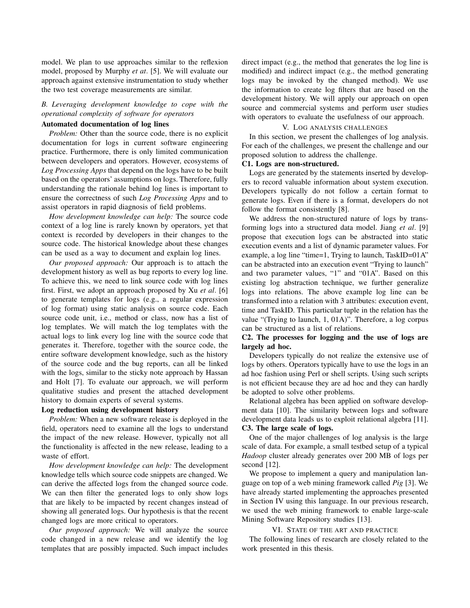model. We plan to use approaches similar to the reflexion model, proposed by Murphy *et at*. [5]. We will evaluate our approach against extensive instrumentation to study whether the two test coverage measurements are similar.

# *B. Leveraging development knowledge to cope with the operational complexity of software for operators*

### **Automated documentation of log lines**

*Problem:* Other than the source code, there is no explicit documentation for logs in current software engineering practice. Furthermore, there is only limited communication between developers and operators. However, ecosystems of *Log Processing Apps* that depend on the logs have to be built based on the operators' assumptions on logs. Therefore, fully understanding the rationale behind log lines is important to ensure the correctness of such *Log Processing Apps* and to assist operators in rapid diagnosis of field problems.

*How development knowledge can help:* The source code context of a log line is rarely known by operators, yet that context is recorded by developers in their changes to the source code. The historical knowledge about these changes can be used as a way to document and explain log lines.

*Our proposed approach:* Our approach is to attach the development history as well as bug reports to every log line. To achieve this, we need to link source code with log lines first. First, we adopt an approach proposed by Xu *et al*. [6] to generate templates for logs (e.g., a regular expression of log format) using static analysis on source code. Each source code unit, i.e., method or class, now has a list of log templates. We will match the log templates with the actual logs to link every log line with the source code that generates it. Therefore, together with the source code, the entire software development knowledge, such as the history of the source code and the bug reports, can all be linked with the logs, similar to the sticky note approach by Hassan and Holt [7]. To evaluate our approach, we will perform qualitative studies and present the attached development history to domain experts of several systems.

### **Log reduction using development history**

*Problem:* When a new software release is deployed in the field, operators need to examine all the logs to understand the impact of the new release. However, typically not all the functionality is affected in the new release, leading to a waste of effort.

*How development knowledge can help:* The development knowledge tells which source code snippets are changed. We can derive the affected logs from the changed source code. We can then filter the generated logs to only show logs that are likely to be impacted by recent changes instead of showing all generated logs. Our hypothesis is that the recent changed logs are more critical to operators.

*Our proposed approach:* We will analyze the source code changed in a new release and we identify the log templates that are possibly impacted. Such impact includes direct impact (e.g., the method that generates the log line is modified) and indirect impact (e.g., the method generating logs may be invoked by the changed method). We use the information to create log filters that are based on the development history. We will apply our approach on open source and commercial systems and perform user studies with operators to evaluate the usefulness of our approach.

#### V. LOG ANALYSIS CHALLENGES

In this section, we present the challenges of log analysis. For each of the challenges, we present the challenge and our proposed solution to address the challenge.

# **C1. Logs are non-structured.**

Logs are generated by the statements inserted by developers to record valuable information about system execution. Developers typically do not follow a certain format to generate logs. Even if there is a format, developers do not follow the format consistently [8].

We address the non-structured nature of logs by transforming logs into a structured data model. Jiang *et al*. [9] propose that execution logs can be abstracted into static execution events and a list of dynamic parameter values. For example, a log line "time=1, Trying to launch, TaskID=01A" can be abstracted into an execution event "Trying to launch" and two parameter values, "1" and "01A". Based on this existing log abstraction technique, we further generalize logs into relations. The above example log line can be transformed into a relation with 3 attributes: execution event, time and TaskID. This particular tuple in the relation has the value "(Trying to launch, 1, 01A)". Therefore, a log corpus can be structured as a list of relations.

## **C2. The processes for logging and the use of logs are largely ad hoc.**

Developers typically do not realize the extensive use of logs by others. Operators typically have to use the logs in an ad hoc fashion using Perl or shell scripts. Using such scripts is not efficient because they are ad hoc and they can hardly be adopted to solve other problems.

Relational algebra has been applied on software development data [10]. The similarity between logs and software development data leads us to exploit relational algebra [11]. **C3. The large scale of logs.**

One of the major challenges of log analysis is the large scale of data. For example, a small testbed setup of a typical *Hadoop* cluster already generates over 200 MB of logs per second [12].

We propose to implement a query and manipulation language on top of a web mining framework called *Pig* [3]. We have already started implementing the approaches presented in Section IV using this language. In our previous research, we used the web mining framework to enable large-scale Mining Software Repository studies [13].

#### VI. STATE OF THE ART AND PRACTICE

The following lines of research are closely related to the work presented in this thesis.